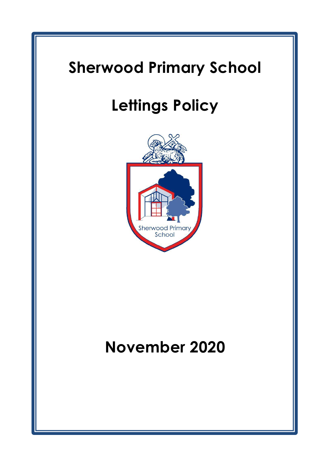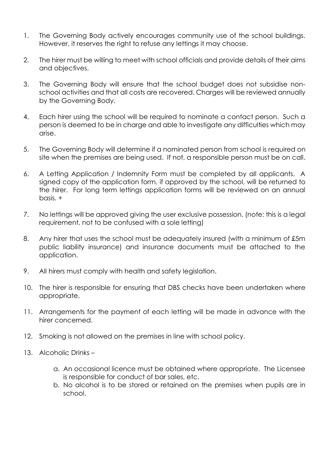- 1. The Governing Body actively encourages community use of the school buildings. However, it reserves the right to refuse any lettings it may choose.
- 2. The hirer must be willing to meet with school officials and provide details of their aims and objectives.
- 3. The Governing Body will ensure that the school budget does not subsidise nonschool activities and that all costs are recovered. Charges will be reviewed annually by the Governing Body.
- 4. Each hirer using the school will be required to nominate a contact person. Such a person is deemed to be in charge and able to investigate any difficulties which may arise.
- 5. The Governing Body will determine if a nominated person from school is required on site when the premises are being used. If not, a responsible person must be on call.
- 6. A Letting Application / Indemnity Form must be completed by all applicants. A signed copy of the application form, if approved by the school, will be returned to the hirer. For long term lettings application forms will be reviewed on an annual basis. +
- 7. No lettings will be approved giving the user exclusive possession. (note: this is a legal requirement, not to be confused with a sole letting)
- 8. Any hirer that uses the school must be adequately insured (with a minimum of £5m public liability insurance) and insurance documents must be attached to the application.
- 9. All hirers must comply with health and safety legislation.
- 10. The hirer is responsible for ensuring that DBS checks have been undertaken where appropriate.
- 11. Arrangements for the payment of each letting will be made in advance with the hirer concerned.
- 12. Smoking is not allowed on the premises in line with school policy.
- 13. Alcoholic Drinks
	- a. An occasional licence must be obtained where appropriate. The Licensee is responsible for conduct of bar sales, etc.
	- b. No alcohol is to be stored or retained on the premises when pupils are in school.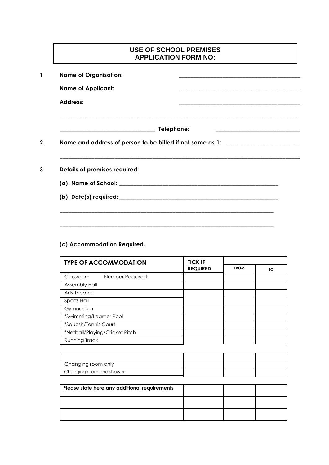## **1 Name of Organisation: \_\_\_\_\_\_\_\_\_\_\_\_\_\_\_\_\_\_\_\_\_\_\_\_\_\_\_\_\_\_\_\_\_\_\_\_\_\_\_\_\_\_ Name of Applicant: \_\_\_\_\_\_\_\_\_\_\_\_\_\_\_\_\_\_\_\_\_\_\_\_\_\_\_\_\_\_\_\_\_\_\_\_\_\_\_\_\_\_ Address: \_\_\_\_\_\_\_\_\_\_\_\_\_\_\_\_\_\_\_\_\_\_\_\_\_\_\_\_\_\_\_\_\_\_\_\_\_\_\_\_\_\_ \_\_\_\_\_\_\_\_\_\_\_\_\_\_\_\_\_\_\_\_\_\_\_\_\_\_\_\_\_\_\_\_\_\_\_\_\_\_\_\_\_\_\_\_\_\_\_\_\_\_\_\_\_\_\_\_\_\_\_\_\_\_\_\_\_\_\_\_\_\_\_\_\_\_\_\_\_\_\_\_\_\_\_ \_\_\_\_\_\_\_\_\_\_\_\_\_\_\_\_\_\_\_\_\_\_\_\_\_\_\_\_\_\_\_\_\_ Telephone: \_\_\_\_\_\_\_\_\_\_\_\_\_\_\_\_\_\_\_\_\_\_\_\_\_\_\_\_\_ 2 Name and address of person to be billed if not same as 1: \_\_\_\_\_\_\_\_\_\_\_\_\_\_\_\_\_\_\_\_\_\_\_\_\_ \_\_\_\_\_\_\_\_\_\_\_\_\_\_\_\_\_\_\_\_\_\_\_\_\_\_\_\_\_\_\_\_\_\_\_\_\_\_\_\_\_\_\_\_\_\_\_\_\_\_\_\_\_\_\_\_\_\_\_\_\_\_\_\_\_\_\_\_\_\_\_\_\_\_\_\_\_\_\_\_\_\_\_ 3 Details of premises required: (a) Name of School: \_\_\_\_\_\_\_\_\_\_\_\_\_\_\_\_\_\_\_\_\_\_\_\_\_\_\_\_\_\_\_\_\_\_\_\_\_\_\_\_\_\_\_\_\_\_\_\_\_\_\_\_\_\_\_ (b) Date(s) required: \_\_\_\_\_\_\_\_\_\_\_\_\_\_\_\_\_\_\_\_\_\_\_\_\_\_\_\_\_\_\_\_\_\_\_\_\_\_\_\_\_\_\_\_\_\_\_\_\_\_\_\_\_\_\_ \_\_\_\_\_\_\_\_\_\_\_\_\_\_\_\_\_\_\_\_\_\_\_\_\_\_\_\_\_\_\_\_\_\_\_\_\_\_\_\_\_\_\_\_\_\_\_\_\_\_\_\_\_\_\_\_\_\_\_\_\_\_\_\_\_\_\_\_\_\_\_\_\_\_ USE OF SCHOOL PREMISES APPLICATION FORM NO:**

## **(c) Accommodation Required.**

| <b>TYPE OF ACCOMMODATION</b>   | <b>TICK IF</b>  |             |    |
|--------------------------------|-----------------|-------------|----|
|                                | <b>REQUIRED</b> | <b>FROM</b> | TΟ |
| Number Required:<br>Classroom  |                 |             |    |
| <b>Assembly Hall</b>           |                 |             |    |
| Arts Theatre                   |                 |             |    |
| Sports Hall                    |                 |             |    |
| Gymnasium                      |                 |             |    |
| *Swimming/Learner Pool         |                 |             |    |
| *Squash/Tennis Court           |                 |             |    |
| *Netball/Playing/Cricket Pitch |                 |             |    |
| <b>Running Track</b>           |                 |             |    |

**\_\_\_\_\_\_\_\_\_\_\_\_\_\_\_\_\_\_\_\_\_\_\_\_\_\_\_\_\_\_\_\_\_\_\_\_\_\_\_\_\_\_\_\_\_\_\_\_\_\_\_\_\_\_\_\_\_\_\_\_\_\_\_\_\_\_\_\_\_\_\_\_\_\_**

| Please state here any additional requirements |  |  |
|-----------------------------------------------|--|--|
|                                               |  |  |
|                                               |  |  |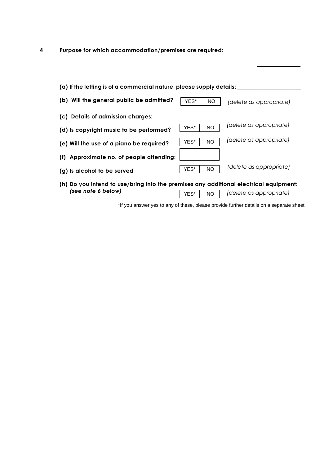**4 Purpose for which accommodation/premises are required:**

| (a) If the letting is of a commercial nature, please supply details: __               |      |           |                         |
|---------------------------------------------------------------------------------------|------|-----------|-------------------------|
| (b) Will the general public be admitted?                                              | YES* | <b>NO</b> | (delete as appropriate) |
| (c) Details of admission charges:                                                     |      |           |                         |
| (d) is copyright music to be performed?                                               | YES* | <b>NO</b> | (delete as appropriate) |
| (e) Will the use of a piano be required?                                              | YES* | <b>NO</b> | (delete as appropriate) |
| (f) Approximate no. of people attending:                                              |      |           |                         |
| (g) Is alcohol to be served                                                           | YES* | <b>NO</b> | (delete as appropriate) |
| th) Do you intend to use/bring into the premises any additional electrical equipment: |      |           |                         |

**\_\_\_\_\_\_\_\_\_\_\_\_\_\_\_\_\_\_\_\_\_\_\_\_\_\_\_\_\_\_\_\_\_\_\_\_\_\_\_\_\_\_\_\_\_\_\_\_\_\_\_\_\_\_\_\_\_\_\_\_\_\_\_\_\_\_\_\_\_\_\_\_\_\_\_\_\_\_\_\_\_\_\_** 

**(h) Do you intend to use/bring into the premises any additional electrical equipment:** *(see note 6 below)* YES\* NO *(delete as appropriate)*

\*If you answer yes to any of these, please provide further details on a separate sheet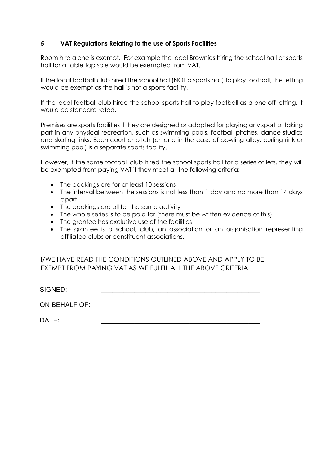## **5 VAT Regulations Relating to the use of Sports Facilities**

Room hire alone is exempt. For example the local Brownies hiring the school hall or sports hall for a table top sale would be exempted from VAT.

If the local football club hired the school hall (NOT a sports hall) to play football, the letting would be exempt as the hall is not a sports facility.

If the local football club hired the school sports hall to play football as a one off letting, it would be standard rated.

Premises are sports facilities if they are designed or adapted for playing any sport or taking part in any physical recreation, such as swimming pools, football pitches, dance studios and skating rinks. Each court or pitch (or lane in the case of bowling alley, curling rink or swimming pool) is a separate sports facility.

However, if the same football club hired the school sports hall for a series of lets, they will be exempted from paying VAT if they meet all the following criteria:-

- The bookings are for at least 10 sessions
- The interval between the sessions is not less than 1 day and no more than 14 days apart
- The bookings are all for the same activity
- The whole series is to be paid for (there must be written evidence of this)
- The grantee has exclusive use of the facilities
- The grantee is a school, club, an association or an organisation representing affiliated clubs or constituent associations.

I/WE HAVE READ THE CONDITIONS OUTLINED ABOVE AND APPLY TO BE EXEMPT FROM PAYING VAT AS WE FULFIL ALL THE ABOVE CRITERIA

SIGNED:

ON BEHALF OF:

DATE: \_\_\_\_\_\_\_\_\_\_\_\_\_\_\_\_\_\_\_\_\_\_\_\_\_\_\_\_\_\_\_\_\_\_\_\_\_\_\_\_\_\_\_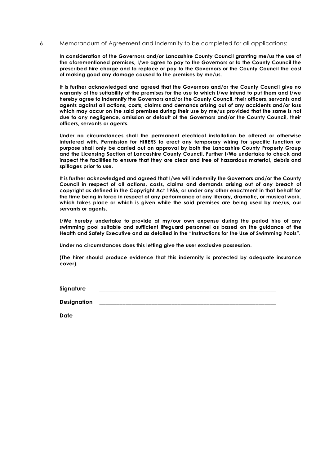6 Memorandum of Agreement and Indemnity to be completed for all applications:

**In consideration of the Governors and/or Lancashire County Council granting me/us the use of the aforementioned premises, I/we agree to pay to the Governors or to the County Council the prescribed hire charge and to replace or pay to the Governors or the County Council the cost of making good any damage caused to the premises by me/us.**

**It is further acknowledged and agreed that the Governors and/or the County Council give no warranty of the suitability of the premises for the use to which I/we intend to put them and I/we hereby agree to indemnify the Governors and/or the County Council, their officers, servants and agents against all actions, costs, claims and demands arising out of any accidents and/or loss which may occur on the said premises during their use by me/us provided that the same is not due to any negligence, omission or default of the Governors and/or the County Council, their officers, servants or agents.**

**Under no circumstances shall the permanent electrical installation be altered or otherwise interfered with. Permission for HIRERS to erect any temporary wiring for specific function or purpose shall only be carried out on approval by both the Lancashire County Property Group and the Licensing Section of Lancashire County Council. Further I/We undertake to check and inspect the facilities to ensure that they are clear and free of hazardous material, debris and spillages prior to use.**

**It is further acknowledged and agreed that I/we will indemnify the Governors and/or the County Council in respect of all actions, costs, claims and demands arising out of any breach of copyright as defined in the Copyright Act 1956, or under any other enactment in that behalf for the time being in force in respect of any performance of any literary, dramatic, or musical work, which takes place or which is given while the said premises are being used by me/us, our servants or agents.**

**I/We hereby undertake to provide at my/our own expense during the period hire of any swimming pool suitable and sufficient lifeguard personnel as based on the guidance of the Health and Safety Executive and as detailed in the "Instructions for the Use of Swimming Pools".**

**Under no circumstances does this letting give the user exclusive possession.**

**(The hirer should produce evidence that this indemnity is protected by adequate insurance cover).**

**Signature \_\_\_\_\_\_\_\_\_\_\_\_\_\_\_\_\_\_\_\_\_\_\_\_\_\_\_\_\_\_\_\_\_\_\_\_\_\_\_\_\_\_\_\_\_\_\_\_\_\_\_\_\_\_\_\_\_\_\_\_\_**

**Designation \_\_\_\_\_\_\_\_\_\_\_\_\_\_\_\_\_\_\_\_\_\_\_\_\_\_\_\_\_\_\_\_\_\_\_\_\_\_\_\_\_\_\_\_\_\_\_\_\_\_\_\_\_\_\_\_\_\_\_\_\_**

**Date \_\_\_\_\_\_\_\_\_\_\_\_\_\_\_\_\_\_\_\_\_\_\_\_\_\_\_\_\_\_\_\_\_\_\_\_\_\_\_\_\_\_\_\_\_\_\_\_\_\_\_\_\_\_\_\_\_\_\_\_\_**